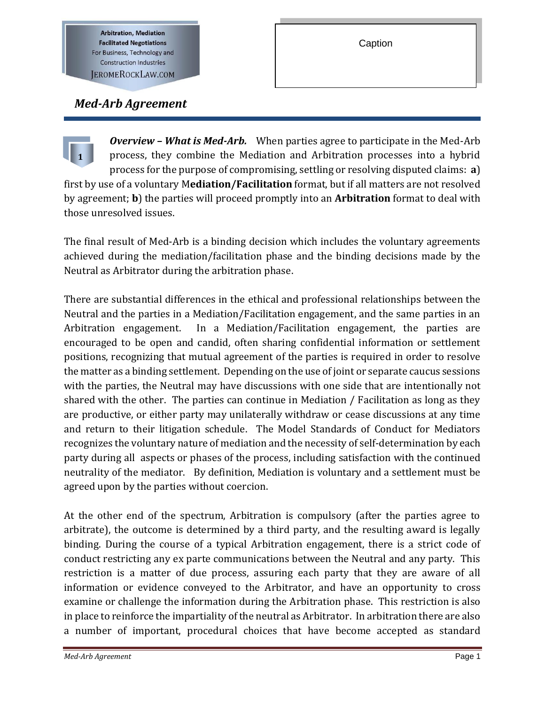**Arbitration, Mediation Facilitated Negotiations** For Business, Technology and **Construction Industries JEROMEROCKLAW.COM** 

I

# *Med-Arb Agreement*

*Overview – What is Med-Arb.* When parties agree to participate in the Med-Arb process, they combine the Mediation and Arbitration processes into a hybrid process for the purpose of compromising, settling or resolving disputed claims: **a**) first by use of a voluntary M**ediation/Facilitation** format, but if all matters are not resolved by agreement; **b**) the parties will proceed promptly into an **Arbitration** format to deal with those unresolved issues. **1**

The final result of Med-Arb is a binding decision which includes the voluntary agreements achieved during the mediation/facilitation phase and the binding decisions made by the Neutral as Arbitrator during the arbitration phase.

There are substantial differences in the ethical and professional relationships between the Neutral and the parties in a Mediation/Facilitation engagement, and the same parties in an Arbitration engagement. In a Mediation/Facilitation engagement, the parties are encouraged to be open and candid, often sharing confidential information or settlement positions, recognizing that mutual agreement of the parties is required in order to resolve the matter as a binding settlement. Depending on the use of joint or separate caucus sessions with the parties, the Neutral may have discussions with one side that are intentionally not shared with the other. The parties can continue in Mediation / Facilitation as long as they are productive, or either party may unilaterally withdraw or cease discussions at any time and return to their litigation schedule. The Model Standards of Conduct for Mediators recognizes the voluntary nature of mediation and the necessity of self-determination by each party during all aspects or phases of the process, including satisfaction with the continued neutrality of the mediator. By definition, Mediation is voluntary and a settlement must be agreed upon by the parties without coercion.

At the other end of the spectrum, Arbitration is compulsory (after the parties agree to arbitrate), the outcome is determined by a third party, and the resulting award is legally binding. During the course of a typical Arbitration engagement, there is a strict code of conduct restricting any ex parte communications between the Neutral and any party. This restriction is a matter of due process, assuring each party that they are aware of all information or evidence conveyed to the Arbitrator, and have an opportunity to cross examine or challenge the information during the Arbitration phase. This restriction is also in place to reinforce the impartiality of the neutral as Arbitrator. In arbitration there are also a number of important, procedural choices that have become accepted as standard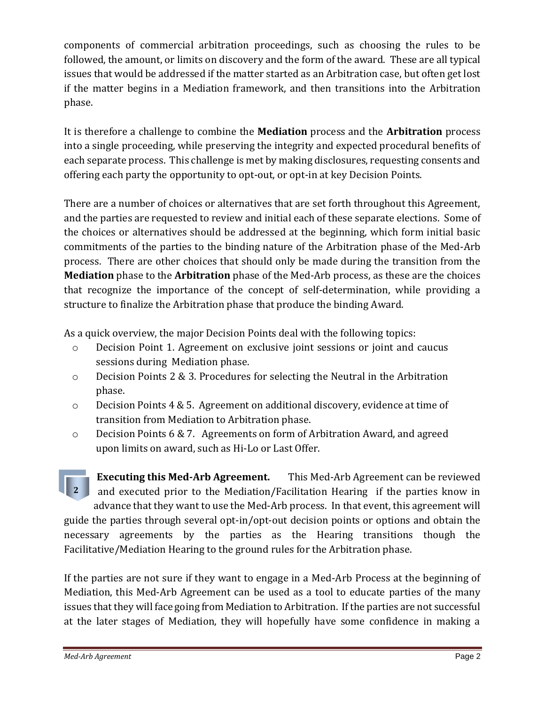components of commercial arbitration proceedings, such as choosing the rules to be followed, the amount, or limits on discovery and the form of the award. These are all typical issues that would be addressed if the matter started as an Arbitration case, but often get lost if the matter begins in a Mediation framework, and then transitions into the Arbitration phase.

It is therefore a challenge to combine the **Mediation** process and the **Arbitration** process into a single proceeding, while preserving the integrity and expected procedural benefits of each separate process. This challenge is met by making disclosures, requesting consents and offering each party the opportunity to opt-out, or opt-in at key Decision Points.

There are a number of choices or alternatives that are set forth throughout this Agreement, and the parties are requested to review and initial each of these separate elections. Some of the choices or alternatives should be addressed at the beginning, which form initial basic commitments of the parties to the binding nature of the Arbitration phase of the Med-Arb process. There are other choices that should only be made during the transition from the **Mediation** phase to the **Arbitration** phase of the Med-Arb process, as these are the choices that recognize the importance of the concept of self-determination, while providing a structure to finalize the Arbitration phase that produce the binding Award.

As a quick overview, the major Decision Points deal with the following topics:

- o Decision Point 1. Agreement on exclusive joint sessions or joint and caucus sessions during Mediation phase.
- o Decision Points 2 & 3. Procedures for selecting the Neutral in the Arbitration phase.
- o Decision Points 4 & 5. Agreement on additional discovery, evidence at time of transition from Mediation to Arbitration phase.
- o Decision Points 6 & 7. Agreements on form of Arbitration Award, and agreed upon limits on award, such as Hi-Lo or Last Offer.

**Executing this Med-Arb Agreement.** This Med-Arb Agreement can be reviewed and executed prior to the Mediation/Facilitation Hearing if the parties know in advance that they want to use the Med-Arb process. In that event, this agreement will guide the parties through several opt-in/opt-out decision points or options and obtain the necessary agreements by the parties as the Hearing transitions though the Facilitative/Mediation Hearing to the ground rules for the Arbitration phase. **2**

If the parties are not sure if they want to engage in a Med-Arb Process at the beginning of Mediation, this Med-Arb Agreement can be used as a tool to educate parties of the many issues that they will face going from Mediation to Arbitration. If the parties are not successful at the later stages of Mediation, they will hopefully have some confidence in making a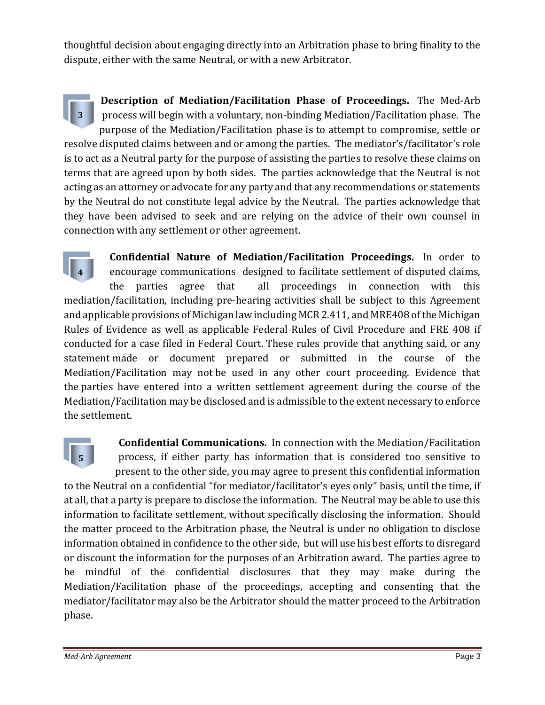thoughtful decision about engaging directly into an Arbitration phase to bring finality to the dispute, either with the same Neutral, or with a new Arbitrator.

**Description of Mediation/Facilitation Phase of Proceedings.** The Med-Arb process will begin with a voluntary, non-binding Mediation/Facilitation phase. The purpose of the Mediation/Facilitation phase is to attempt to compromise, settle or resolve disputed claims between and or among the parties. The mediator's/facilitator's role is to act as a Neutral party for the purpose of assisting the parties to resolve these claims on terms that are agreed upon by both sides. The parties acknowledge that the Neutral is not acting as an attorney or advocate for any party and that any recommendations or statements by the Neutral do not constitute legal advice by the Neutral. The parties acknowledge that they have been advised to seek and are relying on the advice of their own counsel in connection with any settlement or other agreement. **3**

**Confidential Nature of Mediation/Facilitation Proceedings.** In order to encourage communications designed to facilitate settlement of disputed claims, the parties agree that all proceedings in connection with this mediation/facilitation, including pre-hearing activities shall be subject to this Agreement and applicable provisions of Michigan law including MCR 2.411, and MRE408 of the Michigan Rules of Evidence as well as applicable Federal Rules of Civil Procedure and FRE 408 if conducted for a case filed in Federal Court. These rules provide that anything said, or any statement made or document prepared or submitted in the course of the Mediation/Facilitation may not be used in any other court proceeding. Evidence that the parties have entered into a written settlement agreement during the course of the Mediation/Facilitation may be disclosed and is admissible to the extent necessary to enforce the settlement. **4**



**Confidential Communications.** In connection with the Mediation/Facilitation process, if either party has information that is considered too sensitive to present to the other side, you may agree to present this confidential information to the Neutral on a confidential "for mediator/facilitator's eyes only" basis, until the time, if at all, that a party is prepare to disclose the information. The Neutral may be able to use this information to facilitate settlement, without specifically disclosing the information. Should the matter proceed to the Arbitration phase, the Neutral is under no obligation to disclose information obtained in confidence to the other side, but will use his best efforts to disregard or discount the information for the purposes of an Arbitration award. The parties agree to be mindful of the confidential disclosures that they may make during the Mediation/Facilitation phase of the proceedings, accepting and consenting that the mediator/facilitator may also be the Arbitrator should the matter proceed to the Arbitration phase.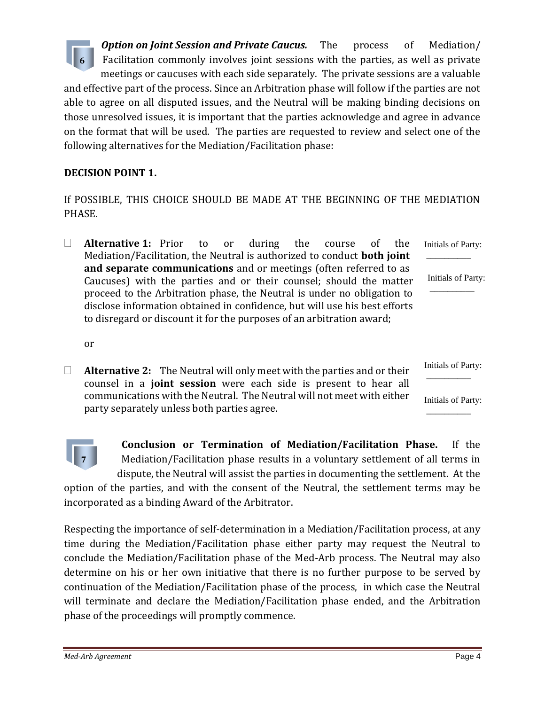*Option on Joint Session and Private Caucus.* The process of Mediation/ Facilitation commonly involves joint sessions with the parties, as well as private meetings or caucuses with each side separately. The private sessions are a valuable and effective part of the process. Since an Arbitration phase will follow if the parties are not able to agree on all disputed issues, and the Neutral will be making binding decisions on those unresolved issues, it is important that the parties acknowledge and agree in advance on the format that will be used. The parties are requested to review and select one of the following alternatives for the Mediation/Facilitation phase: **6**

## **DECISION POINT 1.**

If POSSIBLE, THIS CHOICE SHOULD BE MADE AT THE BEGINNING OF THE MEDIATION PHASE.

 **Alternative 1:** Prior to or during the course of the Mediation/Facilitation, the Neutral is authorized to conduct **both joint and separate communications** and or meetings (often referred to as Caucuses) with the parties and or their counsel; should the matter proceed to the Arbitration phase, the Neutral is under no obligation to disclose information obtained in confidence, but will use his best efforts to disregard or discount it for the purposes of an arbitration award; Initials of Party: \_\_\_\_\_\_\_\_\_\_ Initials of Party: \_\_\_\_\_\_\_\_\_\_

or

 **Alternative 2:** The Neutral will only meet with the parties and or their counsel in a **joint session** were each side is present to hear all communications with the Neutral. The Neutral will not meet with either party separately unless both parties agree. Initials of Party: \_\_\_\_\_\_\_\_\_\_ Initials of Party: \_\_\_\_\_\_\_\_\_\_



**Conclusion or Termination of Mediation/Facilitation Phase.** If the Mediation/Facilitation phase results in a voluntary settlement of all terms in dispute, the Neutral will assist the parties in documenting the settlement. At the

option of the parties, and with the consent of the Neutral, the settlement terms may be incorporated as a binding Award of the Arbitrator.

Respecting the importance of self-determination in a Mediation/Facilitation process, at any time during the Mediation/Facilitation phase either party may request the Neutral to conclude the Mediation/Facilitation phase of the Med-Arb process. The Neutral may also determine on his or her own initiative that there is no further purpose to be served by continuation of the Mediation/Facilitation phase of the process, in which case the Neutral will terminate and declare the Mediation/Facilitation phase ended, and the Arbitration phase of the proceedings will promptly commence.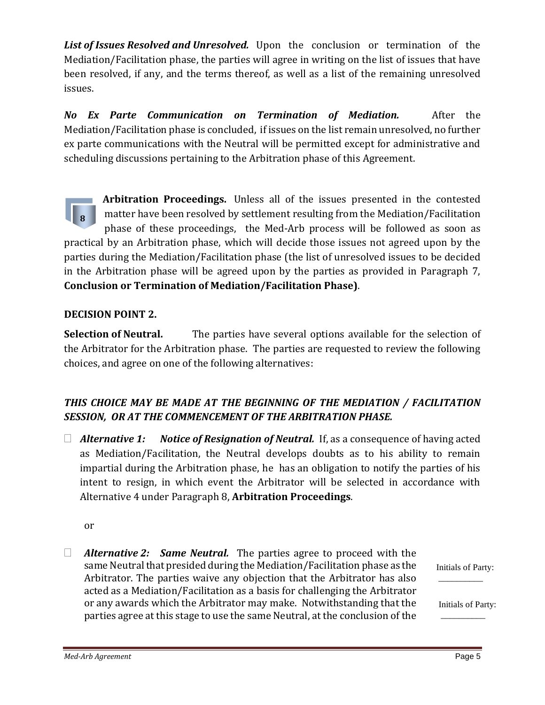*List of Issues Resolved and Unresolved.* Upon the conclusion or termination of the Mediation/Facilitation phase, the parties will agree in writing on the list of issues that have been resolved, if any, and the terms thereof, as well as a list of the remaining unresolved issues.

*No Ex Parte Communication on Termination of Mediation.* After the Mediation/Facilitation phase is concluded, if issues on the list remain unresolved, no further ex parte communications with the Neutral will be permitted except for administrative and scheduling discussions pertaining to the Arbitration phase of this Agreement.

**Arbitration Proceedings.** Unless all of the issues presented in the contested matter have been resolved by settlement resulting from the Mediation/Facilitation phase of these proceedings, the Med-Arb process will be followed as soon as practical by an Arbitration phase, which will decide those issues not agreed upon by the parties during the Mediation/Facilitation phase (the list of unresolved issues to be decided in the Arbitration phase will be agreed upon by the parties as provided in Paragraph 7, **Conclusion or Termination of Mediation/Facilitation Phase)**. **8**

#### **DECISION POINT 2.**

**Selection of Neutral.** The parties have several options available for the selection of the Arbitrator for the Arbitration phase. The parties are requested to review the following choices, and agree on one of the following alternatives:

# *THIS CHOICE MAY BE MADE AT THE BEGINNING OF THE MEDIATION / FACILITATION SESSION, OR AT THE COMMENCEMENT OF THE ARBITRATION PHASE.*

 *Alternative 1: Notice of Resignation of Neutral.* If, as a consequence of having acted as Mediation/Facilitation, the Neutral develops doubts as to his ability to remain impartial during the Arbitration phase, he has an obligation to notify the parties of his intent to resign, in which event the Arbitrator will be selected in accordance with Alternative 4 under Paragraph 8, **Arbitration Proceedings**.

or

 *Alternative 2: Same Neutral.* The parties agree to proceed with the same Neutral that presided during the Mediation/Facilitation phase as the Arbitrator. The parties waive any objection that the Arbitrator has also acted as a Mediation/Facilitation as a basis for challenging the Arbitrator or any awards which the Arbitrator may make. Notwithstanding that the parties agree at this stage to use the same Neutral, at the conclusion of the

Initials of Party: \_\_\_\_\_\_\_\_\_\_

Initials of Party:  $\overline{\phantom{a}}$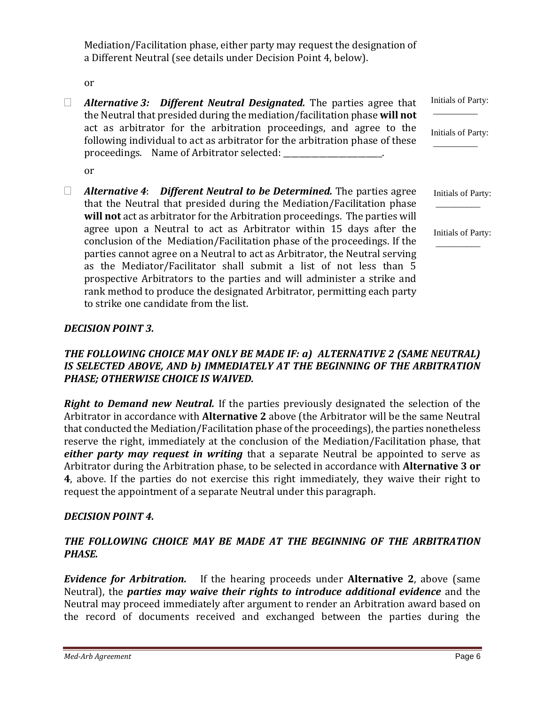Mediation/Facilitation phase, either party may request the designation of a Different Neutral (see details under Decision Point 4, below).

or

 *Alternative 3: Different Neutral Designated.* The parties agree that the Neutral that presided during the mediation/facilitation phase **will not** act as arbitrator for the arbitration proceedings, and agree to the following individual to act as arbitrator for the arbitration phase of these proceedings. Name of Arbitrator selected: \_\_\_\_\_\_\_\_\_\_\_\_\_\_\_\_\_\_\_\_\_\_. or *Alternative 4*: *Different Neutral to be Determined.* The parties agree that the Neutral that presided during the Mediation/Facilitation phase **will not** act as arbitrator for the Arbitration proceedings. The parties will agree upon a Neutral to act as Arbitrator within 15 days after the conclusion of the Mediation/Facilitation phase of the proceedings. If the parties cannot agree on a Neutral to act as Arbitrator, the Neutral serving as the Mediator/Facilitator shall submit a list of not less than 5 prospective Arbitrators to the parties and will administer a strike and Initials of Party:  $\overline{\phantom{a}}$ Initials of Party: \_\_\_\_\_\_\_\_\_\_ Initials of Party: \_\_\_\_\_\_\_\_\_\_ Initials of Party: \_\_\_\_\_\_\_\_\_\_

## *DECISION POINT 3.*

to strike one candidate from the list.

#### *THE FOLLOWING CHOICE MAY ONLY BE MADE IF: a) ALTERNATIVE 2 (SAME NEUTRAL) IS SELECTED ABOVE, AND b) IMMEDIATELY AT THE BEGINNING OF THE ARBITRATION PHASE; OTHERWISE CHOICE IS WAIVED.*

rank method to produce the designated Arbitrator, permitting each party

*Right to Demand new Neutral.* If the parties previously designated the selection of the Arbitrator in accordance with **Alternative 2** above (the Arbitrator will be the same Neutral that conducted the Mediation/Facilitation phase of the proceedings), the parties nonetheless reserve the right, immediately at the conclusion of the Mediation/Facilitation phase, that *either party may request in writing* that a separate Neutral be appointed to serve as Arbitrator during the Arbitration phase, to be selected in accordance with **Alternative 3 or 4**, above. If the parties do not exercise this right immediately, they waive their right to request the appointment of a separate Neutral under this paragraph.

#### *DECISION POINT 4.*

#### *THE FOLLOWING CHOICE MAY BE MADE AT THE BEGINNING OF THE ARBITRATION PHASE.*

*Evidence for Arbitration.* If the hearing proceeds under **Alternative 2**, above (same Neutral), the *parties may waive their rights to introduce additional evidence* and the Neutral may proceed immediately after argument to render an Arbitration award based on the record of documents received and exchanged between the parties during the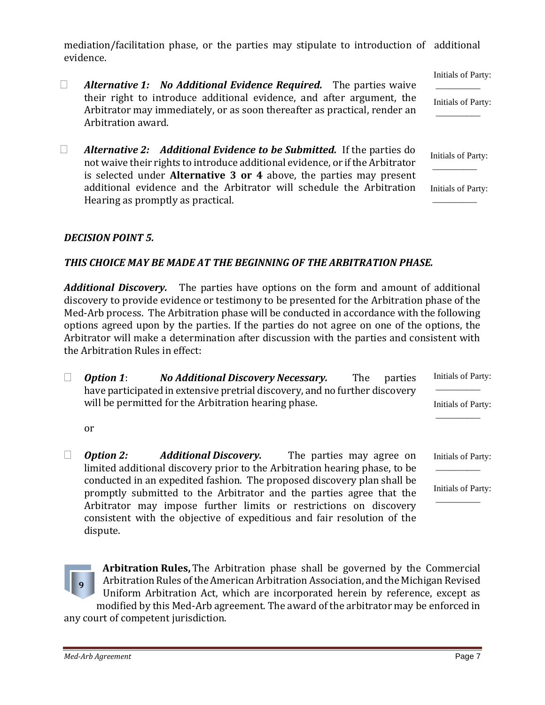mediation/facilitation phase, or the parties may stipulate to introduction of additional evidence.

- *Alternative 1: No Additional Evidence Required.* The parties waive their right to introduce additional evidence, and after argument, the Arbitrator may immediately, or as soon thereafter as practical, render an Arbitration award. Initials of Party:  $\overline{\phantom{a}}$ Initials of Party: \_\_\_\_\_\_\_\_\_\_
- *Alternative 2: Additional Evidence to be Submitted.* If the parties do not waive their rights to introduce additional evidence, or if the Arbitrator is selected under **Alternative 3 or 4** above, the parties may present additional evidence and the Arbitrator will schedule the Arbitration Hearing as promptly as practical. Initials of Party: \_\_\_\_\_\_\_\_\_\_ Initials of Party: \_\_\_\_\_\_\_\_\_\_

#### *DECISION POINT 5.*

#### *THIS CHOICE MAY BE MADE AT THE BEGINNING OF THE ARBITRATION PHASE.*

*Additional Discovery.* The parties have options on the form and amount of additional discovery to provide evidence or testimony to be presented for the Arbitration phase of the Med-Arb process. The Arbitration phase will be conducted in accordance with the following options agreed upon by the parties. If the parties do not agree on one of the options, the Arbitrator will make a determination after discussion with the parties and consistent with the Arbitration Rules in effect:

| <b>Option 1:</b>                                     | <b>No Additional Discovery Necessary.</b>                                                                  |                          | The | parties | Initials of Party: |
|------------------------------------------------------|------------------------------------------------------------------------------------------------------------|--------------------------|-----|---------|--------------------|
|                                                      | have participated in extensive pretrial discovery, and no further discovery                                |                          |     |         |                    |
| will be permitted for the Arbitration hearing phase. |                                                                                                            |                          |     |         | Initials of Party: |
| or                                                   |                                                                                                            |                          |     |         |                    |
| <b>Option 2:</b>                                     | <b>Additional Discovery.</b><br>limited additional discovery prior to the Arbitration hearing phase, to be | The parties may agree on |     |         | Initials of Party: |

limited additional discovery prior to the Arbitration hearing phase, to be conducted in an expedited fashion. The proposed discovery plan shall be promptly submitted to the Arbitrator and the parties agree that the Arbitrator may impose further limits or restrictions on discovery consistent with the objective of expeditious and fair resolution of the dispute.

**Arbitration Rules,** The Arbitration phase shall be governed by the Commercial Arbitration Rules of the American Arbitration Association, and the Michigan Revised Uniform Arbitration Act, which are incorporated herein by reference, except as modified by this Med-Arb agreement. The award of the arbitrator may be enforced in any court of competent jurisdiction. **9**

Initials of Party: \_\_\_\_\_\_\_\_\_\_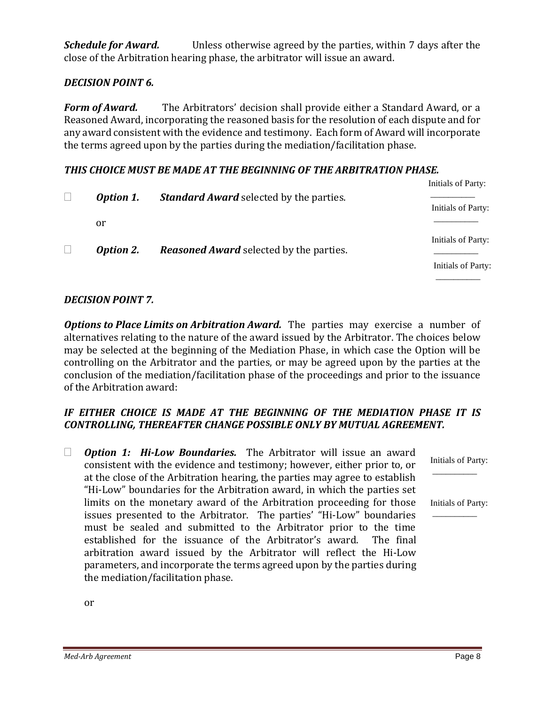*Schedule for Award.* Unless otherwise agreed by the parties, within 7 days after the close of the Arbitration hearing phase, the arbitrator will issue an award.

#### *DECISION POINT 6.*

*Form of Award.* The Arbitrators' decision shall provide either a Standard Award, or a Reasoned Award, incorporating the reasoned basis for the resolution of each dispute and for any award consistent with the evidence and testimony. Each form of Award will incorporate the terms agreed upon by the parties during the mediation/facilitation phase.

#### *THIS CHOICE MUST BE MADE AT THE BEGINNING OF THE ARBITRATION PHASE.*

|  |                  |                                                | Initials of Party:                       |
|--|------------------|------------------------------------------------|------------------------------------------|
|  | <b>Option 1.</b> | <b>Standard Award selected by the parties.</b> | Initials of Party:                       |
|  | or               |                                                |                                          |
|  | <b>Option 2.</b> | <b>Reasoned Award</b> selected by the parties. | Initials of Party:<br>Initials of Party: |
|  |                  |                                                |                                          |

#### *DECISION POINT 7.*

*Options to Place Limits on Arbitration Award.* The parties may exercise a number of alternatives relating to the nature of the award issued by the Arbitrator. The choices below may be selected at the beginning of the Mediation Phase, in which case the Option will be controlling on the Arbitrator and the parties, or may be agreed upon by the parties at the conclusion of the mediation/facilitation phase of the proceedings and prior to the issuance of the Arbitration award:

# *IF EITHER CHOICE IS MADE AT THE BEGINNING OF THE MEDIATION PHASE IT IS CONTROLLING, THEREAFTER CHANGE POSSIBLE ONLY BY MUTUAL AGREEMENT.*

 *Option 1: Hi-Low Boundaries.* The Arbitrator will issue an award consistent with the evidence and testimony; however, either prior to, or at the close of the Arbitration hearing, the parties may agree to establish "Hi-Low" boundaries for the Arbitration award, in which the parties set limits on the monetary award of the Arbitration proceeding for those issues presented to the Arbitrator. The parties' "Hi-Low" boundaries must be sealed and submitted to the Arbitrator prior to the time established for the issuance of the Arbitrator's award. The final arbitration award issued by the Arbitrator will reflect the Hi-Low parameters, and incorporate the terms agreed upon by the parties during the mediation/facilitation phase. \_\_\_\_\_\_\_\_\_\_  $\overline{\phantom{a}}$ 

Initials of Party:

Initials of Party:

or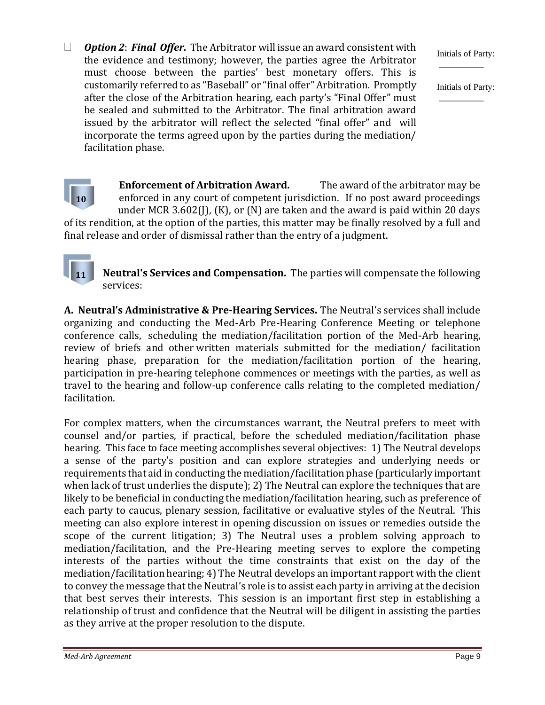*Option 2*: *Final Offer.* The Arbitrator will issue an award consistent with the evidence and testimony; however, the parties agree the Arbitrator must choose between the parties' best monetary offers. This is customarily referred to as "Baseball" or "final offer" Arbitration. Promptly after the close of the Arbitration hearing, each party's "Final Offer" must be sealed and submitted to the Arbitrator. The final arbitration award issued by the arbitrator will reflect the selected "final offer" and will incorporate the terms agreed upon by the parties during the mediation/ facilitation phase.

Initials of Party:  $\overline{\phantom{a}}$ 

Initials of Party: \_\_\_\_\_\_\_\_\_\_



**Neutral's Services and Compensation.** The parties will compensate the following services:

**A. Neutral's Administrative & Pre-Hearing Services.** The Neutral's services shall include organizing and conducting the Med-Arb Pre-Hearing Conference Meeting or telephone conference calls, scheduling the mediation/facilitation portion of the Med-Arb hearing, review of briefs and other written materials submitted for the mediation/ facilitation hearing phase, preparation for the mediation/facilitation portion of the hearing, participation in pre-hearing telephone commences or meetings with the parties, as well as travel to the hearing and follow-up conference calls relating to the completed mediation/ facilitation.

For complex matters, when the circumstances warrant, the Neutral prefers to meet with counsel and/or parties, if practical, before the scheduled mediation/facilitation phase hearing. This face to face meeting accomplishes several objectives: 1) The Neutral develops a sense of the party's position and can explore strategies and underlying needs or requirements that aid in conducting the mediation/facilitation phase (particularly important when lack of trust underlies the dispute); 2) The Neutral can explore the techniques that are likely to be beneficial in conducting the mediation/facilitation hearing, such as preference of each party to caucus, plenary session, facilitative or evaluative styles of the Neutral. This meeting can also explore interest in opening discussion on issues or remedies outside the scope of the current litigation; 3) The Neutral uses a problem solving approach to mediation/facilitation, and the Pre-Hearing meeting serves to explore the competing interests of the parties without the time constraints that exist on the day of the mediation/facilitation hearing; 4) The Neutral develops an important rapport with the client to convey the message that the Neutral's role is to assist each party in arriving at the decision that best serves their interests. This session is an important first step in establishing a relationship of trust and confidence that the Neutral will be diligent in assisting the parties as they arrive at the proper resolution to the dispute.

**11**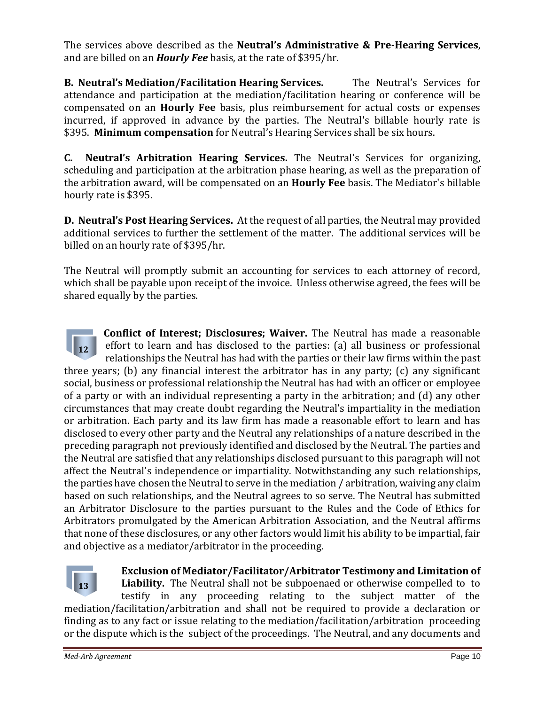The services above described as the **Neutral's Administrative & Pre-Hearing Services**, and are billed on an *Hourly Fee* basis, at the rate of \$395/hr.

**B. Neutral's Mediation/Facilitation Hearing Services.** The Neutral's Services for attendance and participation at the mediation/facilitation hearing or conference will be compensated on an **Hourly Fee** basis, plus reimbursement for actual costs or expenses incurred, if approved in advance by the parties. The Neutral's billable hourly rate is \$395. **Minimum compensation** for Neutral's Hearing Services shall be six hours.

**C. Neutral's Arbitration Hearing Services.** The Neutral's Services for organizing, scheduling and participation at the arbitration phase hearing, as well as the preparation of the arbitration award, will be compensated on an **Hourly Fee** basis. The Mediator's billable hourly rate is \$395.

**D. Neutral's Post Hearing Services.** At the request of all parties, the Neutral may provided additional services to further the settlement of the matter. The additional services will be billed on an hourly rate of \$395/hr.

The Neutral will promptly submit an accounting for services to each attorney of record, which shall be payable upon receipt of the invoice. Unless otherwise agreed, the fees will be shared equally by the parties.

**Conflict of Interest; Disclosures; Waiver.** The Neutral has made a reasonable effort to learn and has disclosed to the parties: (a) all business or professional relationships the Neutral has had with the parties or their law firms within the past three years; (b) any financial interest the arbitrator has in any party; (c) any significant social, business or professional relationship the Neutral has had with an officer or employee of a party or with an individual representing a party in the arbitration; and (d) any other circumstances that may create doubt regarding the Neutral's impartiality in the mediation or arbitration. Each party and its law firm has made a reasonable effort to learn and has disclosed to every other party and the Neutral any relationships of a nature described in the preceding paragraph not previously identified and disclosed by the Neutral. The parties and the Neutral are satisfied that any relationships disclosed pursuant to this paragraph will not affect the Neutral's independence or impartiality. Notwithstanding any such relationships, the parties have chosen the Neutral to serve in the mediation / arbitration, waiving any claim based on such relationships, and the Neutral agrees to so serve. The Neutral has submitted an Arbitrator Disclosure to the parties pursuant to the Rules and the Code of Ethics for Arbitrators promulgated by the American Arbitration Association, and the Neutral affirms that none of these disclosures, or any other factors would limit his ability to be impartial, fair and objective as a mediator/arbitrator in the proceeding. **12** 



**Exclusion of Mediator/Facilitator/Arbitrator Testimony and Limitation of** 

**Liability.** The Neutral shall not be subpoenaed or otherwise compelled to to testify in any proceeding relating to the subject matter of the mediation/facilitation/arbitration and shall not be required to provide a declaration or finding as to any fact or issue relating to the mediation/facilitation/arbitration proceeding or the dispute which is the subject of the proceedings. The Neutral, and any documents and